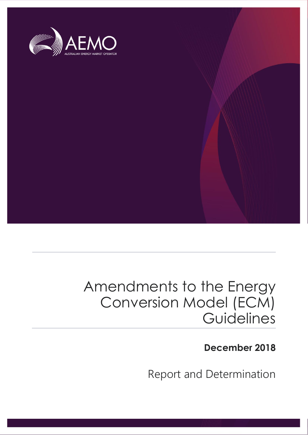

# Amendments to the Energy Conversion Model (ECM) **Guidelines**

**December 2018**

Report and Determination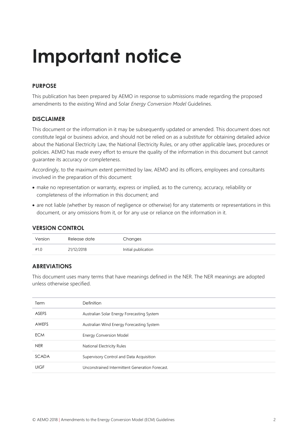# **Important notice**

#### **PURPOSE**

This publication has been prepared by AEMO in response to submissions made regarding the proposed amendments to the existing Wind and Solar *Energy Conversion Model* Guidelines.

#### **DISCLAIMER**

This document or the information in it may be subsequently updated or amended. This document does not constitute legal or business advice, and should not be relied on as a substitute for obtaining detailed advice about the National Electricity Law, the National Electricity Rules, or any other applicable laws, procedures or policies. AEMO has made every effort to ensure the quality of the information in this document but cannot guarantee its accuracy or completeness.

Accordingly, to the maximum extent permitted by law, AEMO and its officers, employees and consultants involved in the preparation of this document:

- make no representation or warranty, express or implied, as to the currency, accuracy, reliability or completeness of the information in this document; and
- are not liable (whether by reason of negligence or otherwise) for any statements or representations in this document, or any omissions from it, or for any use or reliance on the information in it.

| Version | Release date | Changes             |
|---------|--------------|---------------------|
| #1.0    | 21/12/2018   | Initial publication |

#### **ABREVIATIONS**

This document uses many terms that have meanings defined in the NER. The NER meanings are adopted unless otherwise specified.

| Term         | Definition                                      |  |
|--------------|-------------------------------------------------|--|
| <b>ASEFS</b> | Australian Solar Energy Forecasting System      |  |
| AWEFS        | Australian Wind Energy Forecasting System       |  |
| <b>ECM</b>   | <b>Energy Conversion Model</b>                  |  |
| <b>NER</b>   | National Electricity Rules                      |  |
| <b>SCADA</b> | Supervisory Control and Data Acquisition        |  |
| <b>UIGF</b>  | Unconstrained Intermittent Generation Forecast. |  |
|              |                                                 |  |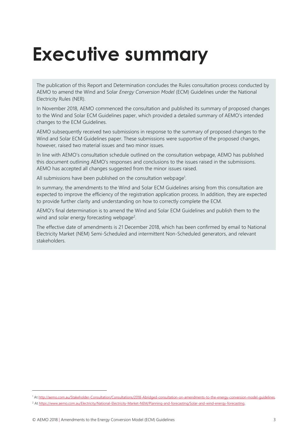# <span id="page-2-0"></span>**Executive summary**

The publication of this Report and Determination concludes the Rules consultation process conducted by AEMO to amend the Wind and Solar *Energy Conversion Model* (ECM) Guidelines under the National Electricity Rules (NER).

In November 2018, AEMO commenced the consultation and published its summary of proposed changes to the Wind and Solar ECM Guidelines paper, which provided a detailed summary of AEMO's intended changes to the ECM Guidelines.

AEMO subsequently received two submissions in response to the summary of proposed changes to the Wind and Solar ECM Guidelines paper. These submissions were supportive of the proposed changes, however, raised two material issues and two minor issues.

In line with AEMO's consultation schedule outlined on the consultation webpage, AEMO has published this document outlining AEMO's responses and conclusions to the issues raised in the submissions. AEMO has accepted all changes suggested from the minor issues raised.

All submissions have been published on the consultation webpage<sup>1</sup>.

In summary, the amendments to the Wind and Solar ECM Guidelines arising from this consultation are expected to improve the efficiency of the registration application process. In addition, they are expected to provide further clarity and understanding on how to correctly complete the ECM.

AEMO's final determination is to amend the Wind and Solar ECM Guidelines and publish them to the wind and solar energy forecasting webpage<sup>2</sup>.

The effective date of amendments is 21 December 2018, which has been confirmed by email to National Electricity Market (NEM) Semi-Scheduled and intermittent Non-Scheduled generators, and relevant stakeholders.

 $\overline{a}$ 

<sup>1</sup> A[t http://aemo.com.au/Stakeholder-Consultation/Consultations/2018-Abridged-consultation-on-amendments-to-the-energy-conversion-model-guidelines.](http://aemo.com.au/Stakeholder-Consultation/Consultations/2018-Abridged-consultation-on-amendments-to-the-energy-conversion-model-guidelines)

<sup>&</sup>lt;sup>2</sup> A[t https://www.aemo.com.au/Electricity/National-Electricity-Market-NEM/Planning-and-forecasting/Solar-and-wind-energy-forecasting.](https://www.aemo.com.au/Electricity/National-Electricity-Market-NEM/Planning-and-forecasting/Solar-and-wind-energy-forecasting)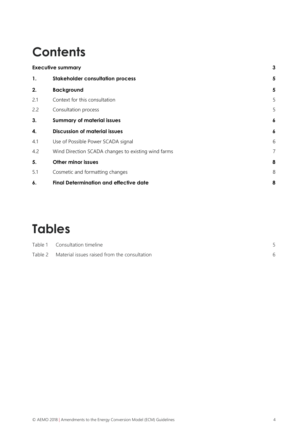# **Contents**

|     | <b>Executive summary</b>                            |            |
|-----|-----------------------------------------------------|------------|
| 1.  | <b>Stakeholder consultation process</b>             | 5          |
| 2.  | <b>Background</b>                                   | 5          |
| 2.1 | Context for this consultation                       | 5          |
| 2.2 | Consultation process                                | 5          |
| 3.  | <b>Summary of material issues</b>                   | 6          |
| 4.  | <b>Discussion of material issues</b>                | 6          |
| 4.1 | Use of Possible Power SCADA signal                  | $\epsilon$ |
| 4.2 | Wind Direction SCADA changes to existing wind farms | 7          |
| 5.  | <b>Other minor issues</b>                           | 8          |
| 5.1 | Cosmetic and formatting changes                     | g          |
| 6.  | <b>Final Determination and effective date</b>       | 8          |

# **Tables**

| Table 1 Consultation timeline                        |  |
|------------------------------------------------------|--|
| Table 2 Material issues raised from the consultation |  |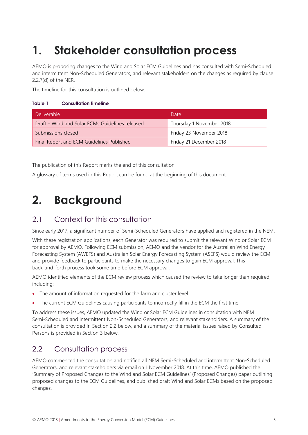## <span id="page-4-0"></span>**1. Stakeholder consultation process**

AEMO is proposing changes to the Wind and Solar ECM Guidelines and has consulted with Semi-Scheduled and intermittent Non-Scheduled Generators, and relevant stakeholders on the changes as required by clause 2.2.7(d) of the NER.

The timeline for this consultation is outlined below.

#### <span id="page-4-4"></span>**Table 1 Consultation timeline**

| Deliverable                                     | Date                     |  |
|-------------------------------------------------|--------------------------|--|
| Draft – Wind and Solar ECMs Guidelines released | Thursday 1 November 2018 |  |
| Submissions closed                              | Friday 23 November 2018  |  |
| Final Report and ECM Guidelines Published       | Friday 21 December 2018  |  |

The publication of this Report marks the end of this consultation.

A glossary of terms used in this Report can be found at the beginning of this document.

### <span id="page-4-1"></span>**2. Background**

#### <span id="page-4-2"></span>2.1 Context for this consultation

Since early 2017, a significant number of Semi-Scheduled Generators have applied and registered in the NEM.

With these registration applications, each Generator was required to submit the relevant Wind or Solar ECM for approval by AEMO. Following ECM submission, AEMO and the vendor for the Australian Wind Energy Forecasting System (AWEFS) and Australian Solar Energy Forecasting System (ASEFS) would review the ECM and provide feedback to participants to make the necessary changes to gain ECM approval. This back-and-forth process took some time before ECM approval.

AEMO identified elements of the ECM review process which caused the review to take longer than required, including:

- The amount of information requested for the farm and cluster level.
- The current ECM Guidelines causing participants to incorrectly fill in the ECM the first time.

To address these issues, AEMO updated the Wind or Solar ECM Guidelines in consultation with NEM Semi-Scheduled and intermittent Non-Scheduled Generators, and relevant stakeholders. A summary of the consultation is provided in Section 2.2 below, and a summary of the material issues raised by Consulted Persons is provided in Section 3 below.

#### <span id="page-4-3"></span>2.2 Consultation process

AEMO commenced the consultation and notified all NEM Semi-Scheduled and intermittent Non-Scheduled Generators, and relevant stakeholders via email on 1 November 2018. At this time, AEMO published the 'Summary of Proposed Changes to the Wind and Solar ECM Guidelines' (Proposed Changes) paper outlining proposed changes to the ECM Guidelines, and published draft Wind and Solar ECMs based on the proposed changes.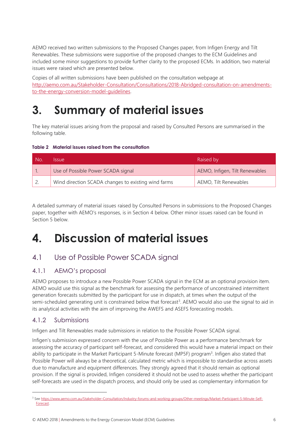AEMO received two written submissions to the Proposed Changes paper, from Infigen Energy and Tilt Renewables. These submissions were supportive of the proposed changes to the ECM Guidelines and included some minor suggestions to provide further clarity to the proposed ECMs. In addition, two material issues were raised which are presented below.

Copies of all written submissions have been published on the consultation webpage at [http://aemo.com.au/Stakeholder-Consultation/Consultations/2018-Abridged-consultation-on-amendments](http://aemo.com.au/Stakeholder-Consultation/Consultations/2018-Abridged-consultation-on-amendments-to-the-energy-conversion-model-guidelines)[to-the-energy-conversion-model-guidelines.](http://aemo.com.au/Stakeholder-Consultation/Consultations/2018-Abridged-consultation-on-amendments-to-the-energy-conversion-model-guidelines)

## <span id="page-5-0"></span>**3. Summary of material issues**

The key material issues arising from the proposal and raised by Consulted Persons are summarised in the following table.

<span id="page-5-3"></span>**Table 2 Material issues raised from the consultation**

| No. | Issue.                                              | Raised by                      |
|-----|-----------------------------------------------------|--------------------------------|
|     | Use of Possible Power SCADA signal                  | AEMO, Infigen, Tilt Renewables |
|     | Wind direction SCADA changes to existing wind farms | AEMO, Tilt Renewables          |

A detailed summary of material issues raised by Consulted Persons in submissions to the Proposed Changes paper, together with AEMO's responses, is in Section 4 below. Other minor issues raised can be found in Section 5 below.

### <span id="page-5-1"></span>**4. Discussion of material issues**

#### <span id="page-5-2"></span>4.1 Use of Possible Power SCADA signal

#### 4.1.1 AEMO's proposal

AEMO proposes to introduce a new Possible Power SCADA signal in the ECM as an optional provision item. AEMO would use this signal as the benchmark for assessing the performance of unconstrained intermittent generation forecasts submitted by the participant for use in dispatch, at times when the output of the semi-scheduled generating unit is constrained below that forecast<sup>3</sup>. AEMO would also use the signal to aid in its analytical activities with the aim of improving the AWEFS and ASEFS forecasting models.

#### 4.1.2 Submissions

 $\overline{a}$ 

Infigen and Tilt Renewables made submissions in relation to the Possible Power SCADA signal.

Infigen's submission expressed concern with the use of Possible Power as a performance benchmark for assessing the accuracy of participant self-forecast, and considered this would have a material impact on their ability to participate in the Market Participant 5-Minute forecast (MP5F) program<sup>3</sup>. Infigen also stated that Possible Power will always be a theoretical, calculated metric which is impossible to standardise across assets due to manufacture and equipment differences. They strongly agreed that it should remain as optional provision. If the signal is provided, Infigen considered it should not be used to assess whether the participant self-forecasts are used in the dispatch process, and should only be used as complementary information for

<sup>3</sup> Se[e https://www.aemo.com.au/Stakeholder-Consultation/Industry-forums-and-working-groups/Other-meetings/Market-Participant-5-Minute-Self-](https://www.aemo.com.au/Stakeholder-Consultation/Industry-forums-and-working-groups/Other-meetings/Market-Participant-5-Minute-Self-Forecast)[Forecast.](https://www.aemo.com.au/Stakeholder-Consultation/Industry-forums-and-working-groups/Other-meetings/Market-Participant-5-Minute-Self-Forecast)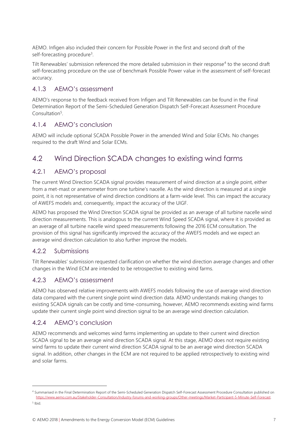AEMO. Infigen also included their concern for Possible Power in the first and second draft of the self-forecasting procedure<sup>3</sup>.

Tilt Renewables' submission referenced the more detailed submission in their response<sup>4</sup> to the second draft self-forecasting procedure on the use of benchmark Possible Power value in the assessment of self-forecast accuracy.

#### 4.1.3 AEMO's assessment

AEMO's response to the feedback received from Infigen and Tilt Renewables can be found in the Final Determination Report of the Semi-Scheduled Generation Dispatch Self-Forecast Assessment Procedure Consultation<sup>5</sup>.

#### 4.1.4 AEMO's conclusion

AEMO will include optional SCADA Possible Power in the amended Wind and Solar ECMs. No changes required to the draft Wind and Solar ECMs.

#### <span id="page-6-0"></span>4.2 Wind Direction SCADA changes to existing wind farms

#### 4.2.1 AEMO's proposal

The current Wind Direction SCADA signal provides measurement of wind direction at a single point, either from a met-mast or anemometer from one turbine's nacelle. As the wind direction is measured at a single point, it is not representative of wind direction conditions at a farm-wide level. This can impact the accuracy of AWEFS models and, consequently, impact the accuracy of the UIGF.

AEMO has proposed the Wind Direction SCADA signal be provided as an average of all turbine nacelle wind direction measurements. This is analogous to the current Wind Speed SCADA signal, where it is provided as an average of all turbine nacelle wind speed measurements following the 2016 ECM consultation. The provision of this signal has significantly improved the accuracy of the AWEFS models and we expect an average wind direction calculation to also further improve the models.

#### 4.2.2 Submissions

Tilt Renewables' submission requested clarification on whether the wind direction average changes and other changes in the Wind ECM are intended to be retrospective to existing wind farms.

#### 4.2.3 AEMO's assessment

AEMO has observed relative improvements with AWEFS models following the use of average wind direction data compared with the current single point wind direction data. AEMO understands making changes to existing SCADA signals can be costly and time-consuming, however, AEMO recommends existing wind farms update their current single point wind direction signal to be an average wind direction calculation.

#### 4.2.4 AEMO's conclusion

AEMO recommends and welcomes wind farms implementing an update to their current wind direction SCADA signal to be an average wind direction SCADA signal. At this stage, AEMO does not require existing wind farms to update their current wind direction SCADA signal to be an average wind direction SCADA signal. In addition, other changes in the ECM are not required to be applied retrospectively to existing wind and solar farms.

 $\overline{a}$ 

<sup>4</sup> Summarised in the Final Determination Report of the Semi-Scheduled Generation Dispatch Self-Forecast Assessment Procedure Consultation published on [https://www.aemo.com.au/Stakeholder-Consultation/Industry-forums-and-working-groups/Other-meetings/Market-Participant-5-Minute-Self-Forecast.](https://www.aemo.com.au/Stakeholder-Consultation/Industry-forums-and-working-groups/Other-meetings/Market-Participant-5-Minute-Self-Forecast)

<sup>5</sup> Ibid.